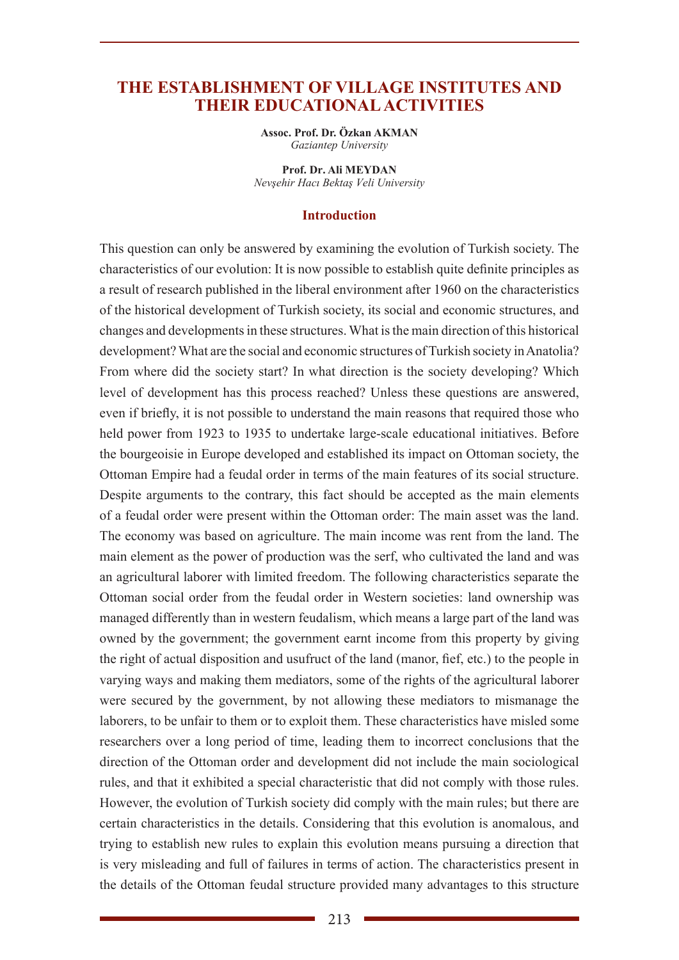## **THE ESTABLISHMENT OF VILLAGE INSTITUTES AND THEIR EDUCATIONAL ACTIVITIES**

**Assoc. Prof. Dr. Özkan AKMAN** *Gaziantep University*

**Prof. Dr. Ali MEYDAN** *Nevşehir Hacı Bektaş Veli University*

#### **Introduction**

This question can only be answered by examining the evolution of Turkish society. The characteristics of our evolution: It is now possible to establish quite definite principles as a result of research published in the liberal environment after 1960 on the characteristics of the historical development of Turkish society, its social and economic structures, and changes and developments in these structures. What is the main direction of this historical development? What are the social and economic structures of Turkish society in Anatolia? From where did the society start? In what direction is the society developing? Which level of development has this process reached? Unless these questions are answered, even if briefly, it is not possible to understand the main reasons that required those who held power from 1923 to 1935 to undertake large-scale educational initiatives. Before the bourgeoisie in Europe developed and established its impact on Ottoman society, the Ottoman Empire had a feudal order in terms of the main features of its social structure. Despite arguments to the contrary, this fact should be accepted as the main elements of a feudal order were present within the Ottoman order: The main asset was the land. The economy was based on agriculture. The main income was rent from the land. The main element as the power of production was the serf, who cultivated the land and was an agricultural laborer with limited freedom. The following characteristics separate the Ottoman social order from the feudal order in Western societies: land ownership was managed differently than in western feudalism, which means a large part of the land was owned by the government; the government earnt income from this property by giving the right of actual disposition and usufruct of the land (manor, fief, etc.) to the people in varying ways and making them mediators, some of the rights of the agricultural laborer were secured by the government, by not allowing these mediators to mismanage the laborers, to be unfair to them or to exploit them. These characteristics have misled some researchers over a long period of time, leading them to incorrect conclusions that the direction of the Ottoman order and development did not include the main sociological rules, and that it exhibited a special characteristic that did not comply with those rules. However, the evolution of Turkish society did comply with the main rules; but there are certain characteristics in the details. Considering that this evolution is anomalous, and trying to establish new rules to explain this evolution means pursuing a direction that is very misleading and full of failures in terms of action. The characteristics present in the details of the Ottoman feudal structure provided many advantages to this structure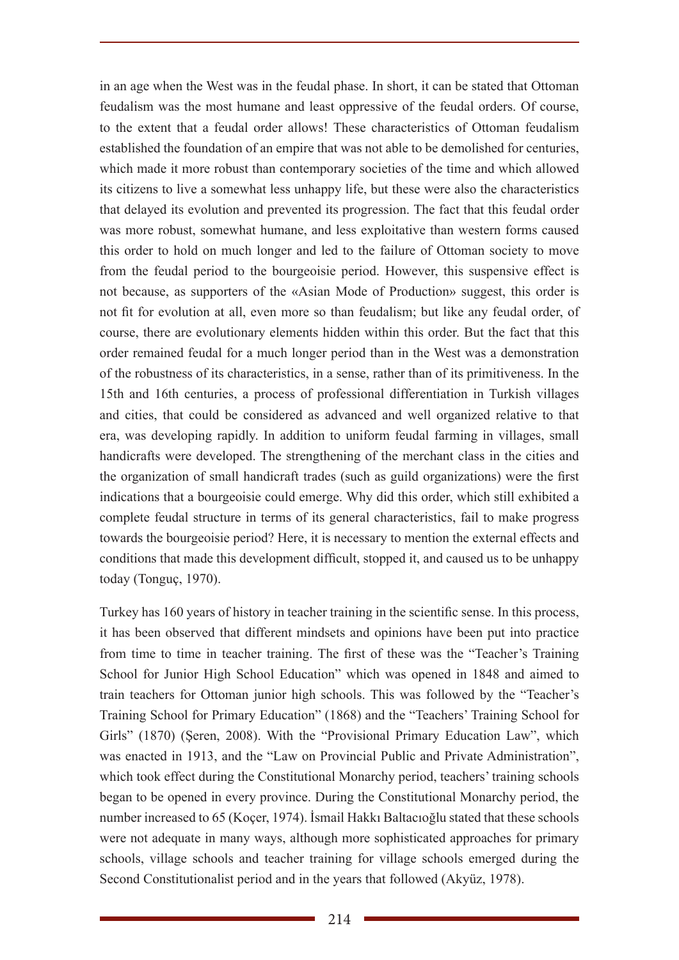in an age when the West was in the feudal phase. In short, it can be stated that Ottoman feudalism was the most humane and least oppressive of the feudal orders. Of course, to the extent that a feudal order allows! These characteristics of Ottoman feudalism established the foundation of an empire that was not able to be demolished for centuries, which made it more robust than contemporary societies of the time and which allowed its citizens to live a somewhat less unhappy life, but these were also the characteristics that delayed its evolution and prevented its progression. The fact that this feudal order was more robust, somewhat humane, and less exploitative than western forms caused this order to hold on much longer and led to the failure of Ottoman society to move from the feudal period to the bourgeoisie period. However, this suspensive effect is not because, as supporters of the «Asian Mode of Production» suggest, this order is not fit for evolution at all, even more so than feudalism; but like any feudal order, of course, there are evolutionary elements hidden within this order. But the fact that this order remained feudal for a much longer period than in the West was a demonstration of the robustness of its characteristics, in a sense, rather than of its primitiveness. In the 15th and 16th centuries, a process of professional differentiation in Turkish villages and cities, that could be considered as advanced and well organized relative to that era, was developing rapidly. In addition to uniform feudal farming in villages, small handicrafts were developed. The strengthening of the merchant class in the cities and the organization of small handicraft trades (such as guild organizations) were the first indications that a bourgeoisie could emerge. Why did this order, which still exhibited a complete feudal structure in terms of its general characteristics, fail to make progress towards the bourgeoisie period? Here, it is necessary to mention the external effects and conditions that made this development difficult, stopped it, and caused us to be unhappy today (Tonguç, 1970).

Turkey has 160 years of history in teacher training in the scientific sense. In this process, it has been observed that different mindsets and opinions have been put into practice from time to time in teacher training. The first of these was the "Teacher's Training School for Junior High School Education" which was opened in 1848 and aimed to train teachers for Ottoman junior high schools. This was followed by the "Teacher's Training School for Primary Education" (1868) and the "Teachers' Training School for Girls" (1870) (Şeren, 2008). With the "Provisional Primary Education Law", which was enacted in 1913, and the "Law on Provincial Public and Private Administration", which took effect during the Constitutional Monarchy period, teachers' training schools began to be opened in every province. During the Constitutional Monarchy period, the number increased to 65 (Koçer, 1974). İsmail Hakkı Baltacıoğlu stated that these schools were not adequate in many ways, although more sophisticated approaches for primary schools, village schools and teacher training for village schools emerged during the Second Constitutionalist period and in the years that followed (Akyüz, 1978).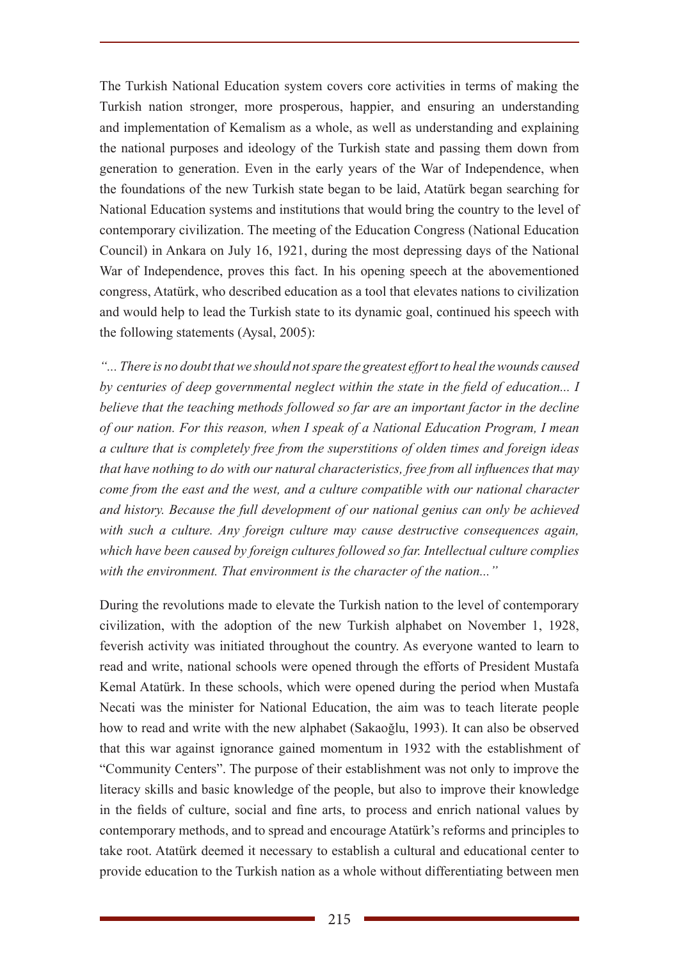The Turkish National Education system covers core activities in terms of making the Turkish nation stronger, more prosperous, happier, and ensuring an understanding and implementation of Kemalism as a whole, as well as understanding and explaining the national purposes and ideology of the Turkish state and passing them down from generation to generation. Even in the early years of the War of Independence, when the foundations of the new Turkish state began to be laid, Atatürk began searching for National Education systems and institutions that would bring the country to the level of contemporary civilization. The meeting of the Education Congress (National Education Council) in Ankara on July 16, 1921, during the most depressing days of the National War of Independence, proves this fact. In his opening speech at the abovementioned congress, Atatürk, who described education as a tool that elevates nations to civilization and would help to lead the Turkish state to its dynamic goal, continued his speech with the following statements (Aysal, 2005):

*"... There is no doubt that we should not spare the greatest effort to heal the wounds caused by centuries of deep governmental neglect within the state in the field of education... I believe that the teaching methods followed so far are an important factor in the decline of our nation. For this reason, when I speak of a National Education Program, I mean a culture that is completely free from the superstitions of olden times and foreign ideas that have nothing to do with our natural characteristics, free from all influences that may come from the east and the west, and a culture compatible with our national character and history. Because the full development of our national genius can only be achieved with such a culture. Any foreign culture may cause destructive consequences again, which have been caused by foreign cultures followed so far. Intellectual culture complies with the environment. That environment is the character of the nation..."*

During the revolutions made to elevate the Turkish nation to the level of contemporary civilization, with the adoption of the new Turkish alphabet on November 1, 1928, feverish activity was initiated throughout the country. As everyone wanted to learn to read and write, national schools were opened through the efforts of President Mustafa Kemal Atatürk. In these schools, which were opened during the period when Mustafa Necati was the minister for National Education, the aim was to teach literate people how to read and write with the new alphabet (Sakaoğlu, 1993). It can also be observed that this war against ignorance gained momentum in 1932 with the establishment of "Community Centers". The purpose of their establishment was not only to improve the literacy skills and basic knowledge of the people, but also to improve their knowledge in the fields of culture, social and fine arts, to process and enrich national values by contemporary methods, and to spread and encourage Atatürk's reforms and principles to take root. Atatürk deemed it necessary to establish a cultural and educational center to provide education to the Turkish nation as a whole without differentiating between men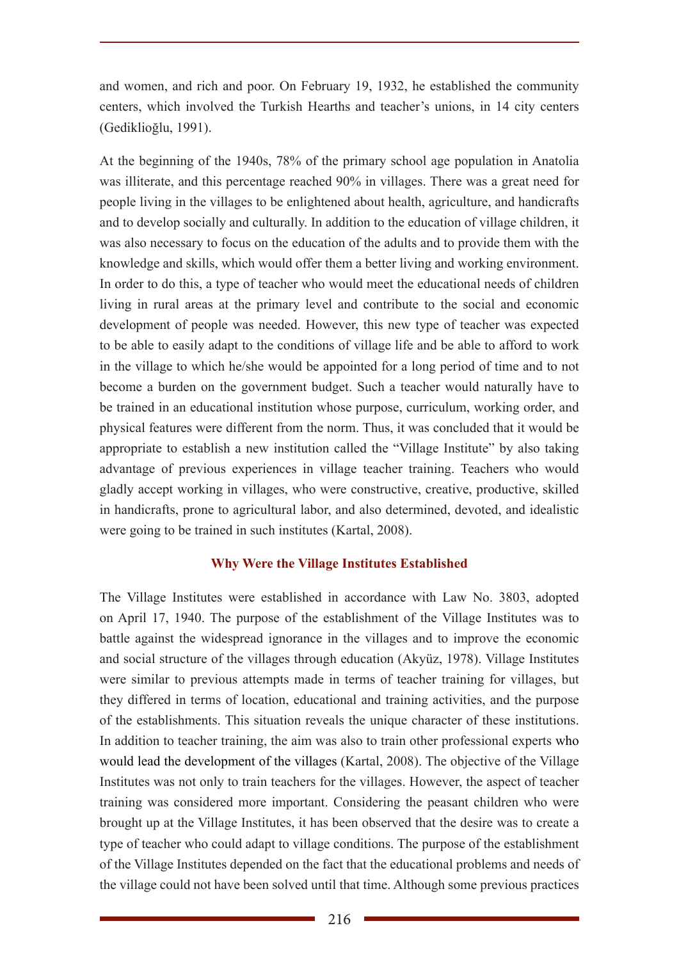and women, and rich and poor. On February 19, 1932, he established the community centers, which involved the Turkish Hearths and teacher's unions, in 14 city centers (Gediklioğlu, 1991).

At the beginning of the 1940s, 78% of the primary school age population in Anatolia was illiterate, and this percentage reached 90% in villages. There was a great need for people living in the villages to be enlightened about health, agriculture, and handicrafts and to develop socially and culturally. In addition to the education of village children, it was also necessary to focus on the education of the adults and to provide them with the knowledge and skills, which would offer them a better living and working environment. In order to do this, a type of teacher who would meet the educational needs of children living in rural areas at the primary level and contribute to the social and economic development of people was needed. However, this new type of teacher was expected to be able to easily adapt to the conditions of village life and be able to afford to work in the village to which he/she would be appointed for a long period of time and to not become a burden on the government budget. Such a teacher would naturally have to be trained in an educational institution whose purpose, curriculum, working order, and physical features were different from the norm. Thus, it was concluded that it would be appropriate to establish a new institution called the "Village Institute" by also taking advantage of previous experiences in village teacher training. Teachers who would gladly accept working in villages, who were constructive, creative, productive, skilled in handicrafts, prone to agricultural labor, and also determined, devoted, and idealistic were going to be trained in such institutes (Kartal, 2008).

### **Why Were the Village Institutes Established**

The Village Institutes were established in accordance with Law No. 3803, adopted on April 17, 1940. The purpose of the establishment of the Village Institutes was to battle against the widespread ignorance in the villages and to improve the economic and social structure of the villages through education (Akyüz, 1978). Village Institutes were similar to previous attempts made in terms of teacher training for villages, but they differed in terms of location, educational and training activities, and the purpose of the establishments. This situation reveals the unique character of these institutions. In addition to teacher training, the aim was also to train other professional experts who would lead the development of the villages (Kartal, 2008). The objective of the Village Institutes was not only to train teachers for the villages. However, the aspect of teacher training was considered more important. Considering the peasant children who were brought up at the Village Institutes, it has been observed that the desire was to create a type of teacher who could adapt to village conditions. The purpose of the establishment of the Village Institutes depended on the fact that the educational problems and needs of the village could not have been solved until that time. Although some previous practices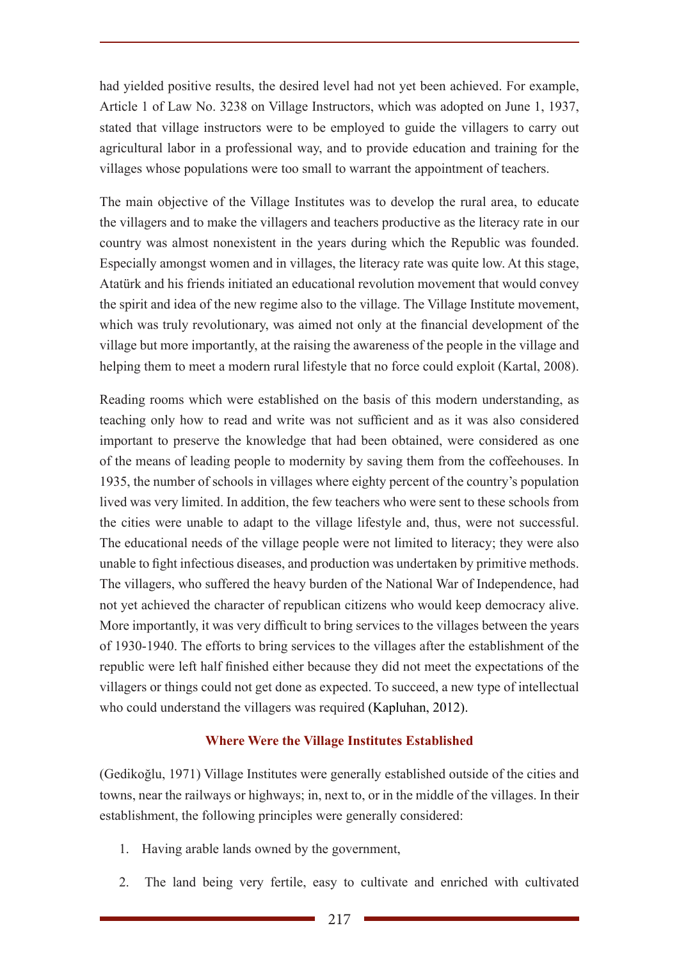had yielded positive results, the desired level had not yet been achieved. For example, Article 1 of Law No. 3238 on Village Instructors, which was adopted on June 1, 1937, stated that village instructors were to be employed to guide the villagers to carry out agricultural labor in a professional way, and to provide education and training for the villages whose populations were too small to warrant the appointment of teachers.

The main objective of the Village Institutes was to develop the rural area, to educate the villagers and to make the villagers and teachers productive as the literacy rate in our country was almost nonexistent in the years during which the Republic was founded. Especially amongst women and in villages, the literacy rate was quite low. At this stage, Atatürk and his friends initiated an educational revolution movement that would convey the spirit and idea of the new regime also to the village. The Village Institute movement, which was truly revolutionary, was aimed not only at the financial development of the village but more importantly, at the raising the awareness of the people in the village and helping them to meet a modern rural lifestyle that no force could exploit (Kartal, 2008).

Reading rooms which were established on the basis of this modern understanding, as teaching only how to read and write was not sufficient and as it was also considered important to preserve the knowledge that had been obtained, were considered as one of the means of leading people to modernity by saving them from the coffeehouses. In 1935, the number of schools in villages where eighty percent of the country's population lived was very limited. In addition, the few teachers who were sent to these schools from the cities were unable to adapt to the village lifestyle and, thus, were not successful. The educational needs of the village people were not limited to literacy; they were also unable to fight infectious diseases, and production was undertaken by primitive methods. The villagers, who suffered the heavy burden of the National War of Independence, had not yet achieved the character of republican citizens who would keep democracy alive. More importantly, it was very difficult to bring services to the villages between the years of 1930-1940. The efforts to bring services to the villages after the establishment of the republic were left half finished either because they did not meet the expectations of the villagers or things could not get done as expected. To succeed, a new type of intellectual who could understand the villagers was required (Kapluhan, 2012).

### **Where Were the Village Institutes Established**

(Gedikoğlu, 1971) Village Institutes were generally established outside of the cities and towns, near the railways or highways; in, next to, or in the middle of the villages. In their establishment, the following principles were generally considered:

- 1. Having arable lands owned by the government,
- 2. The land being very fertile, easy to cultivate and enriched with cultivated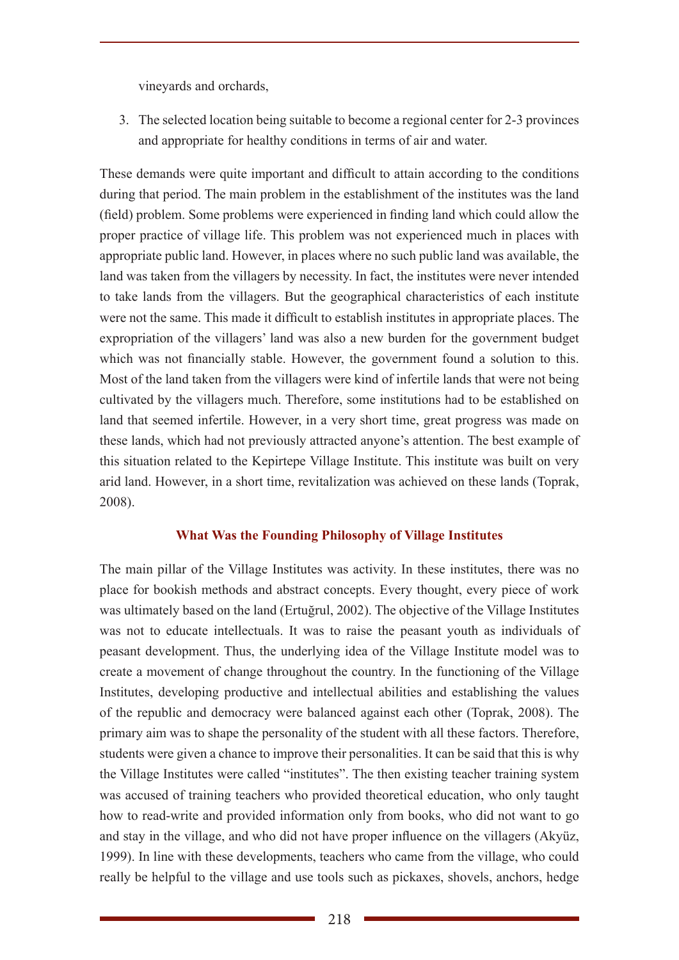vineyards and orchards,

3. The selected location being suitable to become a regional center for 2-3 provinces and appropriate for healthy conditions in terms of air and water.

These demands were quite important and difficult to attain according to the conditions during that period. The main problem in the establishment of the institutes was the land (field) problem. Some problems were experienced in finding land which could allow the proper practice of village life. This problem was not experienced much in places with appropriate public land. However, in places where no such public land was available, the land was taken from the villagers by necessity. In fact, the institutes were never intended to take lands from the villagers. But the geographical characteristics of each institute were not the same. This made it difficult to establish institutes in appropriate places. The expropriation of the villagers' land was also a new burden for the government budget which was not financially stable. However, the government found a solution to this. Most of the land taken from the villagers were kind of infertile lands that were not being cultivated by the villagers much. Therefore, some institutions had to be established on land that seemed infertile. However, in a very short time, great progress was made on these lands, which had not previously attracted anyone's attention. The best example of this situation related to the Kepirtepe Village Institute. This institute was built on very arid land. However, in a short time, revitalization was achieved on these lands (Toprak, 2008).

### **What Was the Founding Philosophy of Village Institutes**

The main pillar of the Village Institutes was activity. In these institutes, there was no place for bookish methods and abstract concepts. Every thought, every piece of work was ultimately based on the land (Ertuğrul, 2002). The objective of the Village Institutes was not to educate intellectuals. It was to raise the peasant youth as individuals of peasant development. Thus, the underlying idea of the Village Institute model was to create a movement of change throughout the country. In the functioning of the Village Institutes, developing productive and intellectual abilities and establishing the values of the republic and democracy were balanced against each other (Toprak, 2008). The primary aim was to shape the personality of the student with all these factors. Therefore, students were given a chance to improve their personalities. It can be said that this is why the Village Institutes were called "institutes". The then existing teacher training system was accused of training teachers who provided theoretical education, who only taught how to read-write and provided information only from books, who did not want to go and stay in the village, and who did not have proper influence on the villagers (Akyüz, 1999). In line with these developments, teachers who came from the village, who could really be helpful to the village and use tools such as pickaxes, shovels, anchors, hedge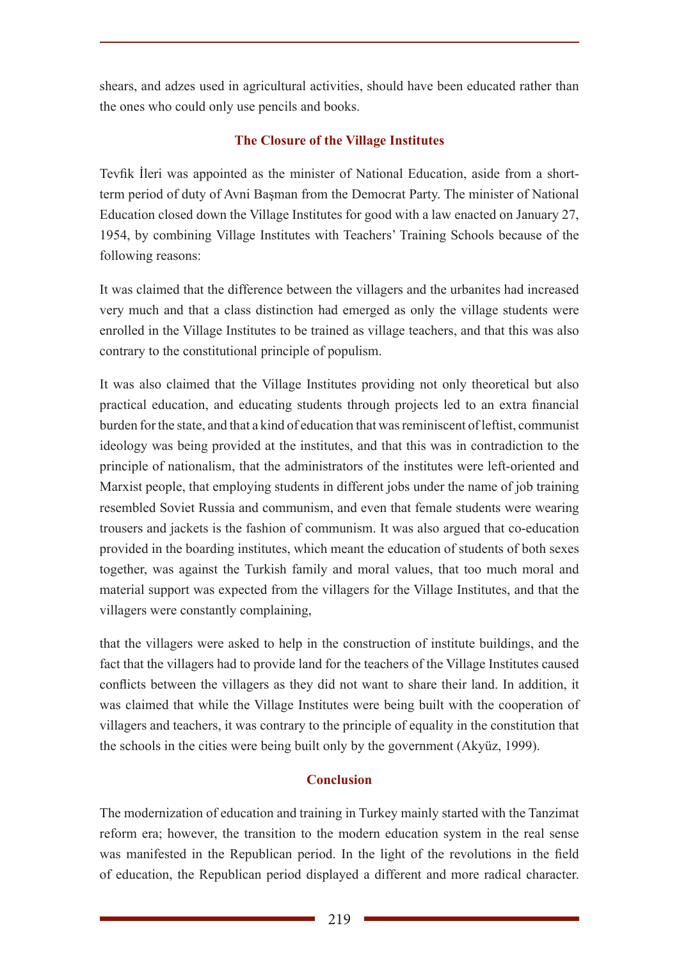shears, and adzes used in agricultural activities, should have been educated rather than the ones who could only use pencils and books.

## **The Closure of the Village Institutes**

Tevfik İleri was appointed as the minister of National Education, aside from a shortterm period of duty of Avni Başman from the Democrat Party. The minister of National Education closed down the Village Institutes for good with a law enacted on January 27, 1954, by combining Village Institutes with Teachers' Training Schools because of the following reasons:

It was claimed that the difference between the villagers and the urbanites had increased very much and that a class distinction had emerged as only the village students were enrolled in the Village Institutes to be trained as village teachers, and that this was also contrary to the constitutional principle of populism.

It was also claimed that the Village Institutes providing not only theoretical but also practical education, and educating students through projects led to an extra financial burden for the state, and that a kind of education that was reminiscent of leftist, communist ideology was being provided at the institutes, and that this was in contradiction to the principle of nationalism, that the administrators of the institutes were left-oriented and Marxist people, that employing students in different jobs under the name of job training resembled Soviet Russia and communism, and even that female students were wearing trousers and jackets is the fashion of communism. It was also argued that co-education provided in the boarding institutes, which meant the education of students of both sexes together, was against the Turkish family and moral values, that too much moral and material support was expected from the villagers for the Village Institutes, and that the villagers were constantly complaining,

that the villagers were asked to help in the construction of institute buildings, and the fact that the villagers had to provide land for the teachers of the Village Institutes caused conflicts between the villagers as they did not want to share their land. In addition, it was claimed that while the Village Institutes were being built with the cooperation of villagers and teachers, it was contrary to the principle of equality in the constitution that the schools in the cities were being built only by the government (Akyüz, 1999).

# **Conclusion**

The modernization of education and training in Turkey mainly started with the Tanzimat reform era; however, the transition to the modern education system in the real sense was manifested in the Republican period. In the light of the revolutions in the field of education, the Republican period displayed a different and more radical character.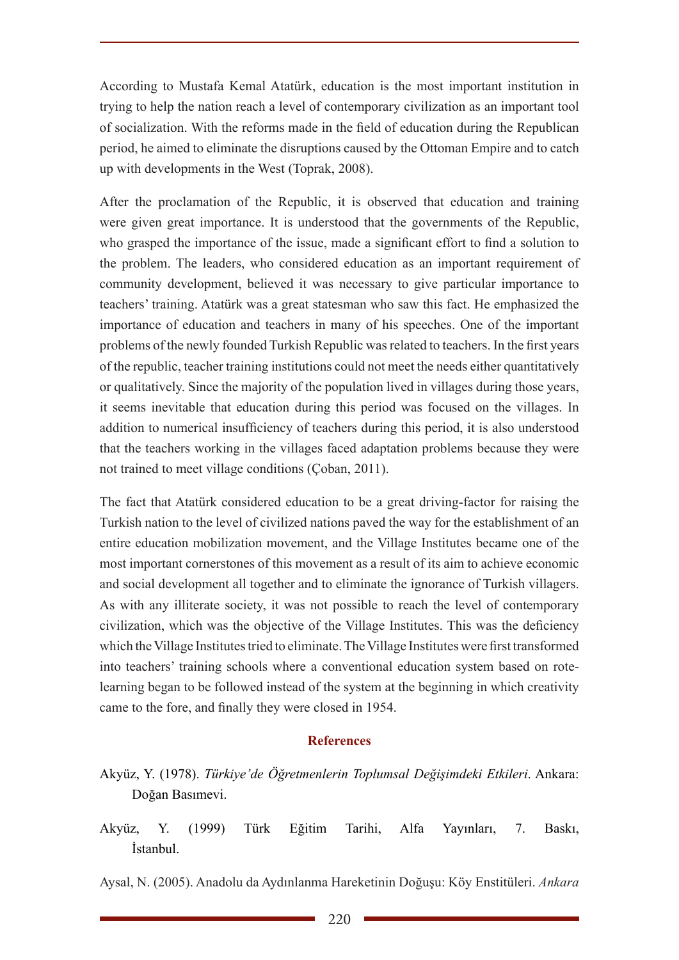According to Mustafa Kemal Atatürk, education is the most important institution in trying to help the nation reach a level of contemporary civilization as an important tool of socialization. With the reforms made in the field of education during the Republican period, he aimed to eliminate the disruptions caused by the Ottoman Empire and to catch up with developments in the West (Toprak, 2008).

After the proclamation of the Republic, it is observed that education and training were given great importance. It is understood that the governments of the Republic, who grasped the importance of the issue, made a significant effort to find a solution to the problem. The leaders, who considered education as an important requirement of community development, believed it was necessary to give particular importance to teachers' training. Atatürk was a great statesman who saw this fact. He emphasized the importance of education and teachers in many of his speeches. One of the important problems of the newly founded Turkish Republic was related to teachers. In the first years of the republic, teacher training institutions could not meet the needs either quantitatively or qualitatively. Since the majority of the population lived in villages during those years, it seems inevitable that education during this period was focused on the villages. In addition to numerical insufficiency of teachers during this period, it is also understood that the teachers working in the villages faced adaptation problems because they were not trained to meet village conditions (Çoban, 2011).

The fact that Atatürk considered education to be a great driving-factor for raising the Turkish nation to the level of civilized nations paved the way for the establishment of an entire education mobilization movement, and the Village Institutes became one of the most important cornerstones of this movement as a result of its aim to achieve economic and social development all together and to eliminate the ignorance of Turkish villagers. As with any illiterate society, it was not possible to reach the level of contemporary civilization, which was the objective of the Village Institutes. This was the deficiency which the Village Institutes tried to eliminate. The Village Institutes were first transformed into teachers' training schools where a conventional education system based on rotelearning began to be followed instead of the system at the beginning in which creativity came to the fore, and finally they were closed in 1954.

### **References**

- Akyüz, Y. (1978). *Türkiye'de Öğretmenlerin Toplumsal Değişimdeki Etkileri*. Ankara: Doğan Basımevi.
- Akyüz, Y. (1999) Türk Eğitim Tarihi, Alfa Yayınları, 7. Baskı, İstanbul.

Aysal, N. (2005). Anadolu da Aydınlanma Hareketinin Doğuşu: Köy Enstitüleri. *Ankara*